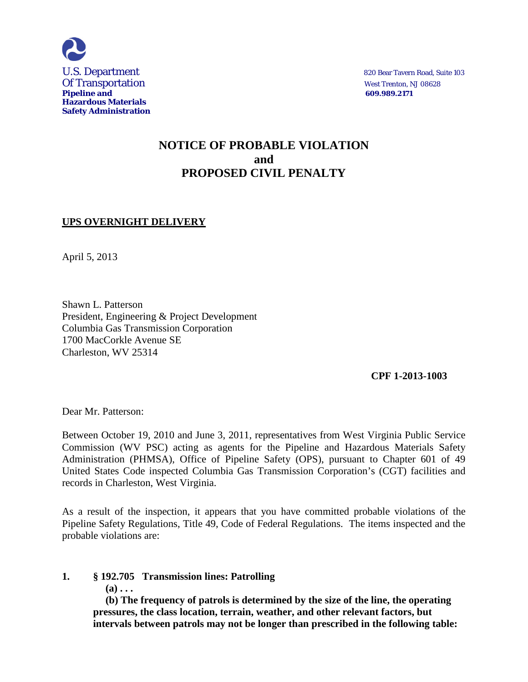

# **NOTICE OF PROBABLE VIOLATION and PROPOSED CIVIL PENALTY**

## **UPS OVERNIGHT DELIVERY**

April 5, 2013

Shawn L. Patterson President, Engineering & Project Development Columbia Gas Transmission Corporation 1700 MacCorkle Avenue SE Charleston, WV 25314

 **CPF 1-2013-1003** 

Dear Mr. Patterson:

Between October 19, 2010 and June 3, 2011, representatives from West Virginia Public Service Commission (WV PSC) acting as agents for the Pipeline and Hazardous Materials Safety Administration (PHMSA), Office of Pipeline Safety (OPS), pursuant to Chapter 601 of 49 United States Code inspected Columbia Gas Transmission Corporation's (CGT) facilities and records in Charleston, West Virginia.

As a result of the inspection, it appears that you have committed probable violations of the Pipeline Safety Regulations, Title 49, Code of Federal Regulations. The items inspected and the probable violations are:

**1. § 192.705 Transmission lines: Patrolling**

**(a) . . .** 

**(b) The frequency of patrols is determined by the size of the line, the operating pressures, the class location, terrain, weather, and other relevant factors, but intervals between patrols may not be longer than prescribed in the following table:**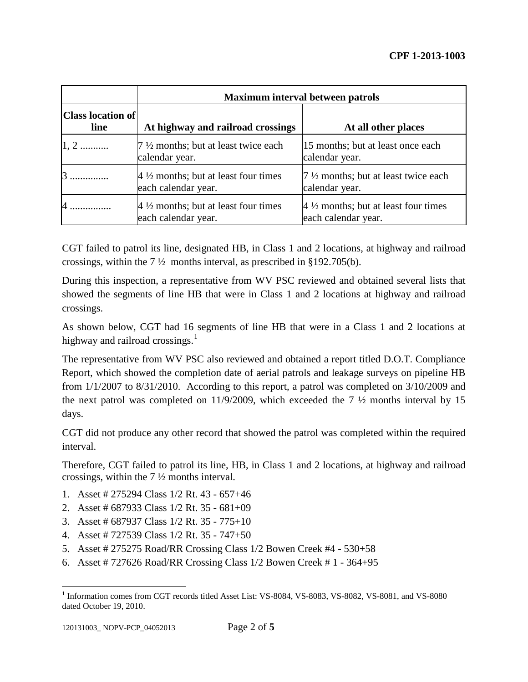|                                  | <b>Maximum interval between patrols</b>                               |                                                                       |
|----------------------------------|-----------------------------------------------------------------------|-----------------------------------------------------------------------|
| <b>Class location of</b><br>line | At highway and railroad crossings                                     | At all other places                                                   |
| $1, 2$                           | $7\frac{1}{2}$ months; but at least twice each<br>calendar year.      | 15 months; but at least once each<br>calendar year.                   |
|                                  | $4\frac{1}{2}$ months; but at least four times<br>each calendar year. | 7 1/2 months; but at least twice each<br>calendar year.               |
|                                  | $4\frac{1}{2}$ months; but at least four times<br>each calendar year. | $4\frac{1}{2}$ months; but at least four times<br>each calendar year. |

CGT failed to patrol its line, designated HB, in Class 1 and 2 locations, at highway and railroad crossings, within the  $7\frac{1}{2}$  months interval, as prescribed in §192.705(b).

During this inspection, a representative from WV PSC reviewed and obtained several lists that showed the segments of line HB that were in Class 1 and 2 locations at highway and railroad crossings.

As shown below, CGT had 16 segments of line HB that were in a Class 1 and 2 locations at highway and railroad crossings. $<sup>1</sup>$ </sup>

The representative from WV PSC also reviewed and obtained a report titled D.O.T. Compliance Report, which showed the completion date of aerial patrols and leakage surveys on pipeline HB from 1/1/2007 to 8/31/2010. According to this report, a patrol was completed on 3/10/2009 and the next patrol was completed on 11/9/2009, which exceeded the  $7\frac{1}{2}$  months interval by 15 days.

CGT did not produce any other record that showed the patrol was completed within the required interval.

Therefore, CGT failed to patrol its line, HB, in Class 1 and 2 locations, at highway and railroad crossings, within the 7 ½ months interval.

- 1. Asset # 275294 Class 1/2 Rt. 43 657+46
- 2. Asset # 687933 Class 1/2 Rt. 35 681+09
- 3. Asset # 687937 Class 1/2 Rt. 35 775+10
- 4. Asset # 727539 Class 1/2 Rt. 35 747+50
- 5. Asset # 275275 Road/RR Crossing Class 1/2 Bowen Creek #4 530+58
- 6. Asset # 727626 Road/RR Crossing Class 1/2 Bowen Creek # 1 364+95

 $\overline{a}$ 

<sup>&</sup>lt;sup>1</sup> Information comes from CGT records titled Asset List: VS-8084, VS-8083, VS-8082, VS-8081, and VS-8080 dated October 19, 2010.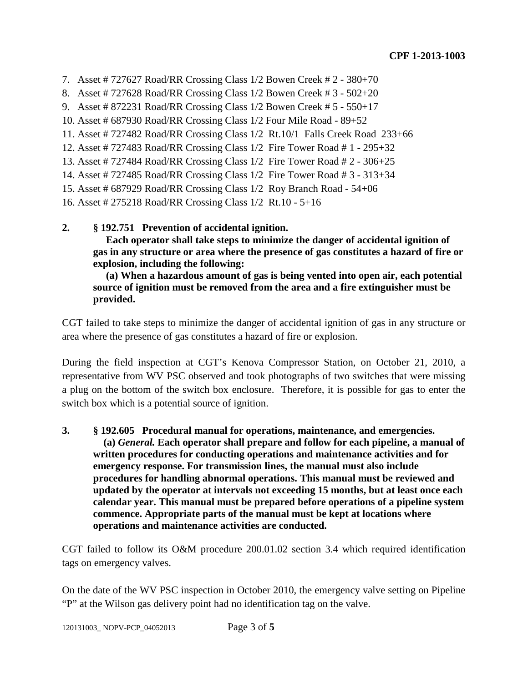- 7. Asset # 727627 Road/RR Crossing Class 1/2 Bowen Creek # 2 380+70
- 8. Asset # 727628 Road/RR Crossing Class 1/2 Bowen Creek # 3 502+20
- 9. Asset # 872231 Road/RR Crossing Class 1/2 Bowen Creek # 5 550+17
- 10. Asset # 687930 Road/RR Crossing Class 1/2 Four Mile Road 89+52
- 11. Asset # 727482 Road/RR Crossing Class 1/2 Rt.10/1 Falls Creek Road 233+66
- 12. Asset # 727483 Road/RR Crossing Class 1/2 Fire Tower Road # 1 295+32
- 13. Asset # 727484 Road/RR Crossing Class 1/2 Fire Tower Road # 2 306+25
- 14. Asset # 727485 Road/RR Crossing Class 1/2 Fire Tower Road # 3 313+34
- 15. Asset # 687929 Road/RR Crossing Class 1/2 Roy Branch Road 54+06
- 16. Asset # 275218 Road/RR Crossing Class 1/2 Rt.10 5+16
- **2. § 192.751 Prevention of accidental ignition.**

 **Each operator shall take steps to minimize the danger of accidental ignition of gas in any structure or area where the presence of gas constitutes a hazard of fire or explosion, including the following:**

 **(a) When a hazardous amount of gas is being vented into open air, each potential source of ignition must be removed from the area and a fire extinguisher must be provided.**

CGT failed to take steps to minimize the danger of accidental ignition of gas in any structure or area where the presence of gas constitutes a hazard of fire or explosion.

During the field inspection at CGT's Kenova Compressor Station, on October 21, 2010, a representative from WV PSC observed and took photographs of two switches that were missing a plug on the bottom of the switch box enclosure. Therefore, it is possible for gas to enter the switch box which is a potential source of ignition.

**3. § 192.605 Procedural manual for operations, maintenance, and emergencies. (a)** *General.* **Each operator shall prepare and follow for each pipeline, a manual of written procedures for conducting operations and maintenance activities and for emergency response. For transmission lines, the manual must also include procedures for handling abnormal operations. This manual must be reviewed and updated by the operator at intervals not exceeding 15 months, but at least once each calendar year. This manual must be prepared before operations of a pipeline system commence. Appropriate parts of the manual must be kept at locations where operations and maintenance activities are conducted.**

CGT failed to follow its O&M procedure 200.01.02 section 3.4 which required identification tags on emergency valves.

On the date of the WV PSC inspection in October 2010, the emergency valve setting on Pipeline "P" at the Wilson gas delivery point had no identification tag on the valve.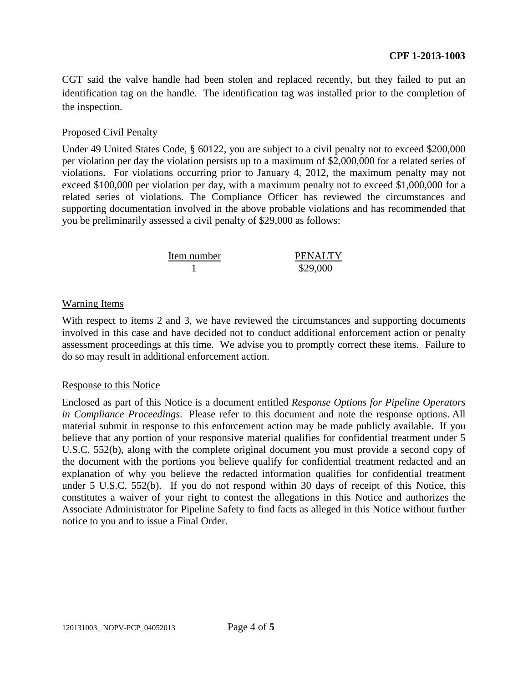CGT said the valve handle had been stolen and replaced recently, but they failed to put an identification tag on the handle. The identification tag was installed prior to the completion of the inspection.

### Proposed Civil Penalty

Under 49 United States Code, § 60122, you are subject to a civil penalty not to exceed \$200,000 per violation per day the violation persists up to a maximum of \$2,000,000 for a related series of violations. For violations occurring prior to January 4, 2012, the maximum penalty may not exceed \$100,000 per violation per day, with a maximum penalty not to exceed \$1,000,000 for a related series of violations. The Compliance Officer has reviewed the circumstances and supporting documentation involved in the above probable violations and has recommended that you be preliminarily assessed a civil penalty of \$29,000 as follows:

| Item number | <b>PENALTY</b> |
|-------------|----------------|
|             | \$29,000       |

### Warning Items

With respect to items 2 and 3, we have reviewed the circumstances and supporting documents involved in this case and have decided not to conduct additional enforcement action or penalty assessment proceedings at this time. We advise you to promptly correct these items. Failure to do so may result in additional enforcement action.

### Response to this Notice

Enclosed as part of this Notice is a document entitled *Response Options for Pipeline Operators in Compliance Proceedings*. Please refer to this document and note the response options. All material submit in response to this enforcement action may be made publicly available. If you believe that any portion of your responsive material qualifies for confidential treatment under 5 U.S.C. 552(b), along with the complete original document you must provide a second copy of the document with the portions you believe qualify for confidential treatment redacted and an explanation of why you believe the redacted information qualifies for confidential treatment under 5 U.S.C. 552(b). If you do not respond within 30 days of receipt of this Notice, this constitutes a waiver of your right to contest the allegations in this Notice and authorizes the Associate Administrator for Pipeline Safety to find facts as alleged in this Notice without further notice to you and to issue a Final Order.